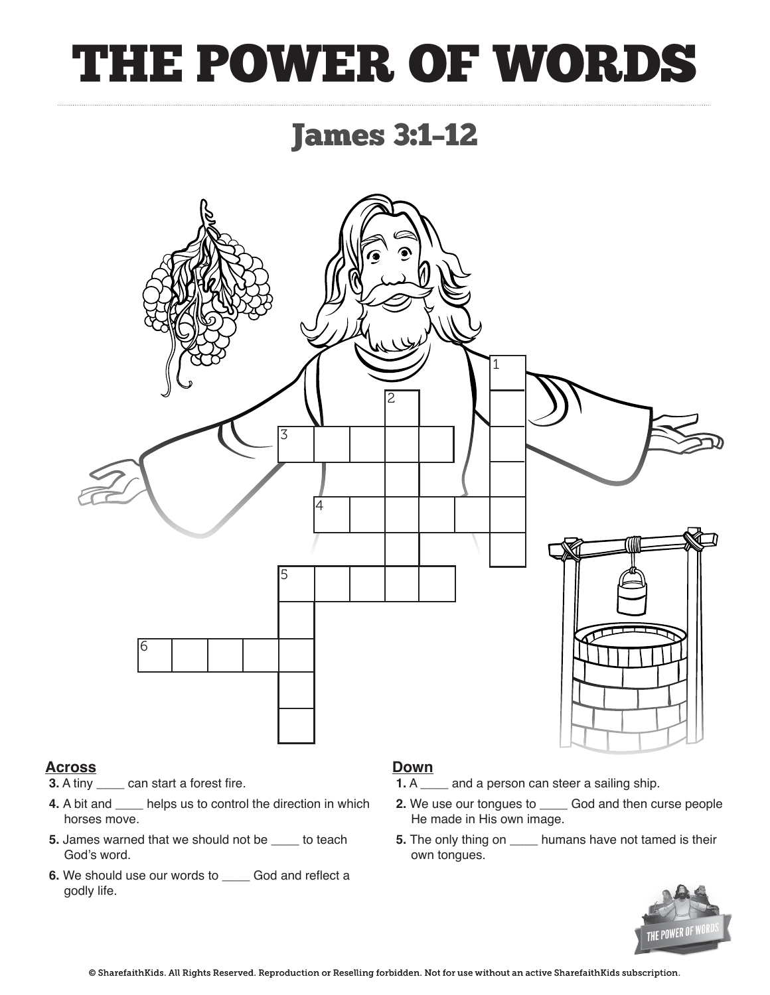## THE POWER OF WORDS

### James 3:1–12



#### **Across**

- **3.** A tiny \_\_\_\_ can start a forest fire.
- **4.** A bit and \_\_\_\_ helps us to control the direction in which horses move.
- **5.** James warned that we should not be \_\_\_\_ to teach God's word.
- **6.** We should use our words to \_\_\_\_ God and reflect a godly life.

### **Down**<br>**1.** A

- 1. A a a person can steer a sailing ship.
- **2.** We use our tongues to \_\_\_\_ God and then curse people He made in His own image.
- **5.** The only thing on \_\_\_\_ humans have not tamed is their own tongues.